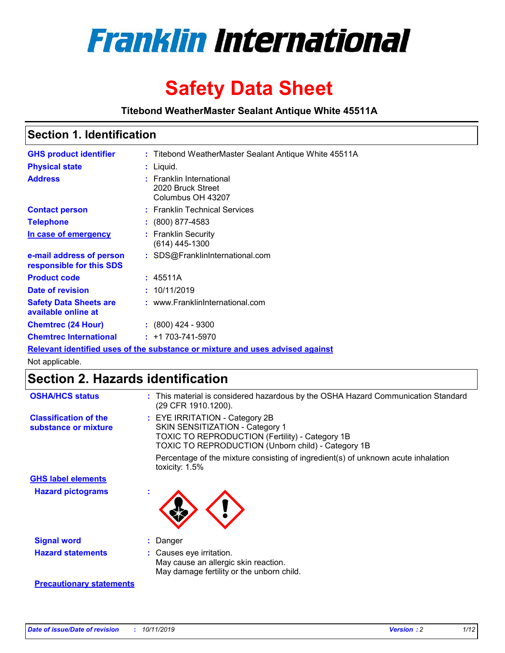

# **Safety Data Sheet**

**Titebond WeatherMaster Sealant Antique White 45511A**

### **Section 1. Identification**

| <b>GHS product identifier</b>                        | : Titebond WeatherMaster Sealant Antique White 45511A                         |
|------------------------------------------------------|-------------------------------------------------------------------------------|
| <b>Physical state</b>                                | : Liquid.                                                                     |
| <b>Address</b>                                       | : Franklin International<br>2020 Bruck Street<br>Columbus OH 43207            |
| <b>Contact person</b>                                | : Franklin Technical Services                                                 |
| <b>Telephone</b>                                     | $\div$ (800) 877-4583                                                         |
| In case of emergency                                 | : Franklin Security<br>$(614)$ 445-1300                                       |
| e-mail address of person<br>responsible for this SDS | : SDS@FranklinInternational.com                                               |
| <b>Product code</b>                                  | : 45511A                                                                      |
| Date of revision                                     | : 10/11/2019                                                                  |
| <b>Safety Data Sheets are</b><br>available online at | : www.FranklinInternational.com                                               |
| <b>Chemtrec (24 Hour)</b>                            | $\div$ (800) 424 - 9300                                                       |
| <b>Chemtrec International</b>                        | $: +1703 - 741 - 5970$                                                        |
|                                                      | Relevant identified uses of the substance or mixture and uses advised against |

Not applicable.

## **Section 2. Hazards identification**

| <b>OSHA/HCS status</b>                               | : This material is considered hazardous by the OSHA Hazard Communication Standard<br>(29 CFR 1910.1200).                                                                                 |
|------------------------------------------------------|------------------------------------------------------------------------------------------------------------------------------------------------------------------------------------------|
| <b>Classification of the</b><br>substance or mixture | : EYE IRRITATION - Category 2B<br>SKIN SENSITIZATION - Category 1<br><b>TOXIC TO REPRODUCTION (Fertility) - Category 1B</b><br><b>TOXIC TO REPRODUCTION (Unborn child) - Category 1B</b> |
|                                                      | Percentage of the mixture consisting of ingredient(s) of unknown acute inhalation<br>toxicity: $1.5\%$                                                                                   |
| <b>GHS label elements</b>                            |                                                                                                                                                                                          |
| <b>Hazard pictograms</b>                             |                                                                                                                                                                                          |
| <b>Signal word</b>                                   | : Danger                                                                                                                                                                                 |
| <b>Hazard statements</b>                             | : Causes eye irritation.<br>May cause an allergic skin reaction.<br>May damage fertility or the unborn child.                                                                            |
| <b>Precautionary statements</b>                      |                                                                                                                                                                                          |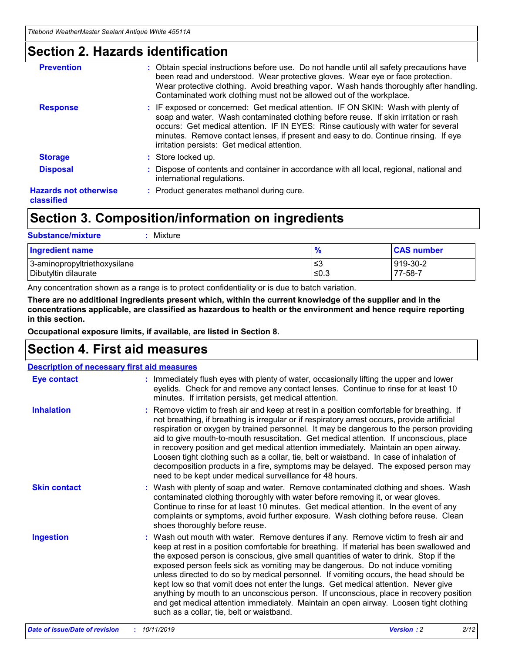### **Section 2. Hazards identification**

| <b>Prevention</b>                          | : Obtain special instructions before use. Do not handle until all safety precautions have<br>been read and understood. Wear protective gloves. Wear eye or face protection.<br>Wear protective clothing. Avoid breathing vapor. Wash hands thoroughly after handling.<br>Contaminated work clothing must not be allowed out of the workplace.                                                        |
|--------------------------------------------|------------------------------------------------------------------------------------------------------------------------------------------------------------------------------------------------------------------------------------------------------------------------------------------------------------------------------------------------------------------------------------------------------|
| <b>Response</b>                            | : IF exposed or concerned: Get medical attention. IF ON SKIN: Wash with plenty of<br>soap and water. Wash contaminated clothing before reuse. If skin irritation or rash<br>occurs: Get medical attention. IF IN EYES: Rinse cautiously with water for several<br>minutes. Remove contact lenses, if present and easy to do. Continue rinsing. If eye<br>irritation persists: Get medical attention. |
| <b>Storage</b>                             | : Store locked up.                                                                                                                                                                                                                                                                                                                                                                                   |
| <b>Disposal</b>                            | : Dispose of contents and container in accordance with all local, regional, national and<br>international regulations.                                                                                                                                                                                                                                                                               |
| <b>Hazards not otherwise</b><br>classified | : Product generates methanol during cure.                                                                                                                                                                                                                                                                                                                                                            |
|                                            |                                                                                                                                                                                                                                                                                                                                                                                                      |

### **Section 3. Composition/information on ingredients**

| <b>Substance/mixture</b><br>Mixture                  |               |                     |
|------------------------------------------------------|---------------|---------------------|
| <b>Ingredient name</b>                               | $\frac{9}{6}$ | <b>CAS number</b>   |
| 3-aminopropyltriethoxysilane<br>Dibutyltin dilaurate | ≤3<br>≤0.3    | 919-30-2<br>77-58-7 |

Any concentration shown as a range is to protect confidentiality or is due to batch variation.

**There are no additional ingredients present which, within the current knowledge of the supplier and in the concentrations applicable, are classified as hazardous to health or the environment and hence require reporting in this section.**

**Occupational exposure limits, if available, are listed in Section 8.**

### **Section 4. First aid measures**

| <b>Description of necessary first aid measures</b> |                                                                                                                                                                                                                                                                                                                                                                                                                                                                                                                                                                                                                                                                                                                                                                           |  |  |  |
|----------------------------------------------------|---------------------------------------------------------------------------------------------------------------------------------------------------------------------------------------------------------------------------------------------------------------------------------------------------------------------------------------------------------------------------------------------------------------------------------------------------------------------------------------------------------------------------------------------------------------------------------------------------------------------------------------------------------------------------------------------------------------------------------------------------------------------------|--|--|--|
| <b>Eye contact</b>                                 | : Immediately flush eyes with plenty of water, occasionally lifting the upper and lower<br>eyelids. Check for and remove any contact lenses. Continue to rinse for at least 10<br>minutes. If irritation persists, get medical attention.                                                                                                                                                                                                                                                                                                                                                                                                                                                                                                                                 |  |  |  |
| <b>Inhalation</b>                                  | : Remove victim to fresh air and keep at rest in a position comfortable for breathing. If<br>not breathing, if breathing is irregular or if respiratory arrest occurs, provide artificial<br>respiration or oxygen by trained personnel. It may be dangerous to the person providing<br>aid to give mouth-to-mouth resuscitation. Get medical attention. If unconscious, place<br>in recovery position and get medical attention immediately. Maintain an open airway.<br>Loosen tight clothing such as a collar, tie, belt or waistband. In case of inhalation of<br>decomposition products in a fire, symptoms may be delayed. The exposed person may<br>need to be kept under medical surveillance for 48 hours.                                                       |  |  |  |
| <b>Skin contact</b>                                | : Wash with plenty of soap and water. Remove contaminated clothing and shoes. Wash<br>contaminated clothing thoroughly with water before removing it, or wear gloves.<br>Continue to rinse for at least 10 minutes. Get medical attention. In the event of any<br>complaints or symptoms, avoid further exposure. Wash clothing before reuse. Clean<br>shoes thoroughly before reuse.                                                                                                                                                                                                                                                                                                                                                                                     |  |  |  |
| <b>Ingestion</b>                                   | : Wash out mouth with water. Remove dentures if any. Remove victim to fresh air and<br>keep at rest in a position comfortable for breathing. If material has been swallowed and<br>the exposed person is conscious, give small quantities of water to drink. Stop if the<br>exposed person feels sick as vomiting may be dangerous. Do not induce vomiting<br>unless directed to do so by medical personnel. If vomiting occurs, the head should be<br>kept low so that vomit does not enter the lungs. Get medical attention. Never give<br>anything by mouth to an unconscious person. If unconscious, place in recovery position<br>and get medical attention immediately. Maintain an open airway. Loosen tight clothing<br>such as a collar, tie, belt or waistband. |  |  |  |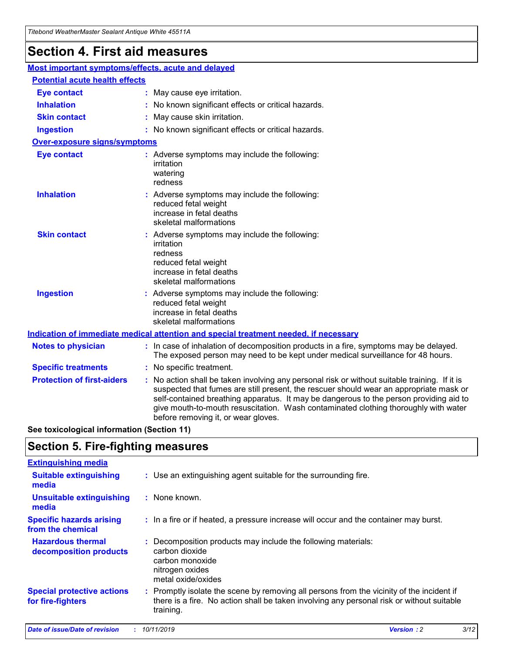## **Section 4. First aid measures**

| Most important symptoms/effects, acute and delayed |                                       |                                                                                                                                                                                                                                                                                                                                                                                                                 |  |  |  |
|----------------------------------------------------|---------------------------------------|-----------------------------------------------------------------------------------------------------------------------------------------------------------------------------------------------------------------------------------------------------------------------------------------------------------------------------------------------------------------------------------------------------------------|--|--|--|
|                                                    | <b>Potential acute health effects</b> |                                                                                                                                                                                                                                                                                                                                                                                                                 |  |  |  |
| Eye contact                                        |                                       | : May cause eye irritation.                                                                                                                                                                                                                                                                                                                                                                                     |  |  |  |
| <b>Inhalation</b>                                  |                                       | : No known significant effects or critical hazards.                                                                                                                                                                                                                                                                                                                                                             |  |  |  |
| <b>Skin contact</b>                                |                                       | : May cause skin irritation.                                                                                                                                                                                                                                                                                                                                                                                    |  |  |  |
| <b>Ingestion</b>                                   |                                       | : No known significant effects or critical hazards.                                                                                                                                                                                                                                                                                                                                                             |  |  |  |
| Over-exposure signs/symptoms                       |                                       |                                                                                                                                                                                                                                                                                                                                                                                                                 |  |  |  |
| <b>Eye contact</b>                                 |                                       | : Adverse symptoms may include the following:<br>irritation<br>watering<br>redness                                                                                                                                                                                                                                                                                                                              |  |  |  |
| <b>Inhalation</b>                                  |                                       | : Adverse symptoms may include the following:<br>reduced fetal weight<br>increase in fetal deaths<br>skeletal malformations                                                                                                                                                                                                                                                                                     |  |  |  |
| <b>Skin contact</b>                                |                                       | : Adverse symptoms may include the following:<br>irritation<br>redness<br>reduced fetal weight<br>increase in fetal deaths<br>skeletal malformations                                                                                                                                                                                                                                                            |  |  |  |
| <b>Ingestion</b>                                   |                                       | : Adverse symptoms may include the following:<br>reduced fetal weight<br>increase in fetal deaths<br>skeletal malformations                                                                                                                                                                                                                                                                                     |  |  |  |
|                                                    |                                       | <b>Indication of immediate medical attention and special treatment needed, if necessary</b>                                                                                                                                                                                                                                                                                                                     |  |  |  |
| <b>Notes to physician</b>                          |                                       | : In case of inhalation of decomposition products in a fire, symptoms may be delayed.<br>The exposed person may need to be kept under medical surveillance for 48 hours.                                                                                                                                                                                                                                        |  |  |  |
| <b>Specific treatments</b>                         |                                       | : No specific treatment.                                                                                                                                                                                                                                                                                                                                                                                        |  |  |  |
| <b>Protection of first-aiders</b>                  |                                       | : No action shall be taken involving any personal risk or without suitable training. If it is<br>suspected that fumes are still present, the rescuer should wear an appropriate mask or<br>self-contained breathing apparatus. It may be dangerous to the person providing aid to<br>give mouth-to-mouth resuscitation. Wash contaminated clothing thoroughly with water<br>before removing it, or wear gloves. |  |  |  |

**See toxicological information (Section 11)**

### **Section 5. Fire-fighting measures**

| <b>Extinguishing media</b>                             |                                                                                                                                                                                                     |
|--------------------------------------------------------|-----------------------------------------------------------------------------------------------------------------------------------------------------------------------------------------------------|
| <b>Suitable extinguishing</b><br>media                 | : Use an extinguishing agent suitable for the surrounding fire.                                                                                                                                     |
| <b>Unsuitable extinguishing</b><br>media               | : None known.                                                                                                                                                                                       |
| <b>Specific hazards arising</b><br>from the chemical   | : In a fire or if heated, a pressure increase will occur and the container may burst.                                                                                                               |
| <b>Hazardous thermal</b><br>decomposition products     | : Decomposition products may include the following materials:<br>carbon dioxide<br>carbon monoxide<br>nitrogen oxides<br>metal oxide/oxides                                                         |
| <b>Special protective actions</b><br>for fire-fighters | : Promptly isolate the scene by removing all persons from the vicinity of the incident if<br>there is a fire. No action shall be taken involving any personal risk or without suitable<br>training. |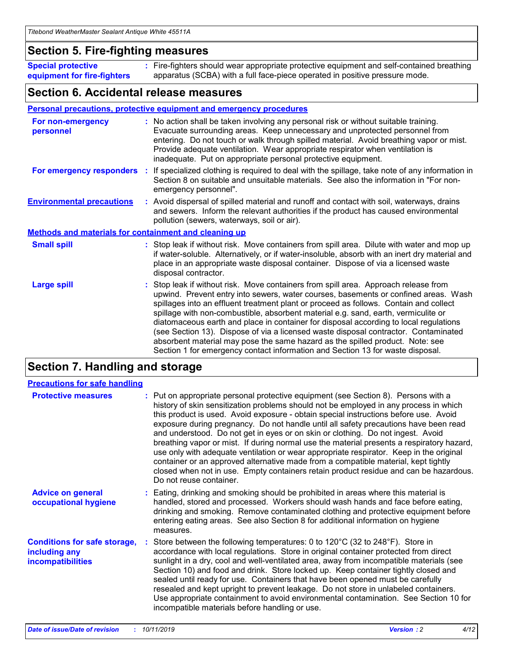### **Section 5. Fire-fighting measures**

**Special protective equipment for fire-fighters** Fire-fighters should wear appropriate protective equipment and self-contained breathing **:** apparatus (SCBA) with a full face-piece operated in positive pressure mode.

### **Section 6. Accidental release measures**

### **Personal precautions, protective equipment and emergency procedures**

| For non-emergency<br>personnel                               | : No action shall be taken involving any personal risk or without suitable training.<br>Evacuate surrounding areas. Keep unnecessary and unprotected personnel from<br>entering. Do not touch or walk through spilled material. Avoid breathing vapor or mist.<br>Provide adequate ventilation. Wear appropriate respirator when ventilation is<br>inadequate. Put on appropriate personal protective equipment.                                                                                                                                                                                                                                                                                             |
|--------------------------------------------------------------|--------------------------------------------------------------------------------------------------------------------------------------------------------------------------------------------------------------------------------------------------------------------------------------------------------------------------------------------------------------------------------------------------------------------------------------------------------------------------------------------------------------------------------------------------------------------------------------------------------------------------------------------------------------------------------------------------------------|
|                                                              | For emergency responders : If specialized clothing is required to deal with the spillage, take note of any information in<br>Section 8 on suitable and unsuitable materials. See also the information in "For non-<br>emergency personnel".                                                                                                                                                                                                                                                                                                                                                                                                                                                                  |
| <b>Environmental precautions</b>                             | : Avoid dispersal of spilled material and runoff and contact with soil, waterways, drains<br>and sewers. Inform the relevant authorities if the product has caused environmental<br>pollution (sewers, waterways, soil or air).                                                                                                                                                                                                                                                                                                                                                                                                                                                                              |
| <b>Methods and materials for containment and cleaning up</b> |                                                                                                                                                                                                                                                                                                                                                                                                                                                                                                                                                                                                                                                                                                              |
| <b>Small spill</b>                                           | : Stop leak if without risk. Move containers from spill area. Dilute with water and mop up<br>if water-soluble. Alternatively, or if water-insoluble, absorb with an inert dry material and<br>place in an appropriate waste disposal container. Dispose of via a licensed waste<br>disposal contractor.                                                                                                                                                                                                                                                                                                                                                                                                     |
| <b>Large spill</b>                                           | : Stop leak if without risk. Move containers from spill area. Approach release from<br>upwind. Prevent entry into sewers, water courses, basements or confined areas. Wash<br>spillages into an effluent treatment plant or proceed as follows. Contain and collect<br>spillage with non-combustible, absorbent material e.g. sand, earth, vermiculite or<br>diatomaceous earth and place in container for disposal according to local regulations<br>(see Section 13). Dispose of via a licensed waste disposal contractor. Contaminated<br>absorbent material may pose the same hazard as the spilled product. Note: see<br>Section 1 for emergency contact information and Section 13 for waste disposal. |

### **Section 7. Handling and storage**

| <b>Precautions for safe handling</b>                                             |                                                                                                                                                                                                                                                                                                                                                                                                                                                                                                                                                                                                                                                                                                                                                                                                                                                  |
|----------------------------------------------------------------------------------|--------------------------------------------------------------------------------------------------------------------------------------------------------------------------------------------------------------------------------------------------------------------------------------------------------------------------------------------------------------------------------------------------------------------------------------------------------------------------------------------------------------------------------------------------------------------------------------------------------------------------------------------------------------------------------------------------------------------------------------------------------------------------------------------------------------------------------------------------|
| <b>Protective measures</b>                                                       | : Put on appropriate personal protective equipment (see Section 8). Persons with a<br>history of skin sensitization problems should not be employed in any process in which<br>this product is used. Avoid exposure - obtain special instructions before use. Avoid<br>exposure during pregnancy. Do not handle until all safety precautions have been read<br>and understood. Do not get in eyes or on skin or clothing. Do not ingest. Avoid<br>breathing vapor or mist. If during normal use the material presents a respiratory hazard,<br>use only with adequate ventilation or wear appropriate respirator. Keep in the original<br>container or an approved alternative made from a compatible material, kept tightly<br>closed when not in use. Empty containers retain product residue and can be hazardous.<br>Do not reuse container. |
| <b>Advice on general</b><br>occupational hygiene                                 | : Eating, drinking and smoking should be prohibited in areas where this material is<br>handled, stored and processed. Workers should wash hands and face before eating,<br>drinking and smoking. Remove contaminated clothing and protective equipment before<br>entering eating areas. See also Section 8 for additional information on hygiene<br>measures.                                                                                                                                                                                                                                                                                                                                                                                                                                                                                    |
| <b>Conditions for safe storage,</b><br>including any<br><b>incompatibilities</b> | Store between the following temperatures: 0 to 120 $^{\circ}$ C (32 to 248 $^{\circ}$ F). Store in<br>accordance with local regulations. Store in original container protected from direct<br>sunlight in a dry, cool and well-ventilated area, away from incompatible materials (see<br>Section 10) and food and drink. Store locked up. Keep container tightly closed and<br>sealed until ready for use. Containers that have been opened must be carefully<br>resealed and kept upright to prevent leakage. Do not store in unlabeled containers.<br>Use appropriate containment to avoid environmental contamination. See Section 10 for<br>incompatible materials before handling or use.                                                                                                                                                   |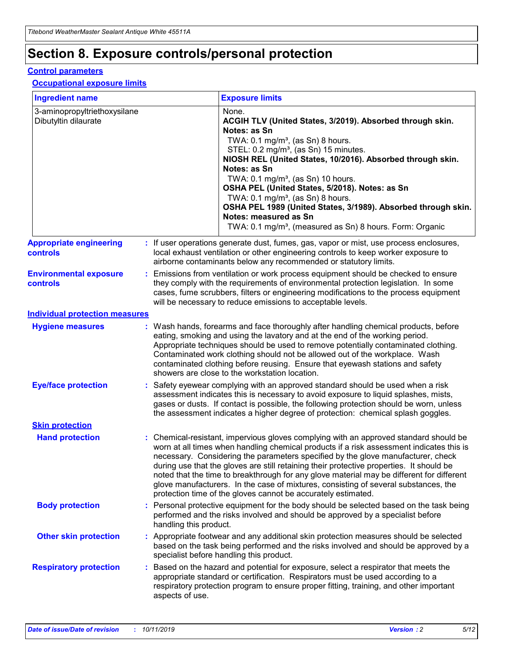## **Section 8. Exposure controls/personal protection**

### **Control parameters**

#### **Occupational exposure limits**

| <b>Ingredient name</b>                               |    |                        | <b>Exposure limits</b>                                                                                                                                                                                                                                                                                                                                                                                                                                                                                                                                                                                                 |
|------------------------------------------------------|----|------------------------|------------------------------------------------------------------------------------------------------------------------------------------------------------------------------------------------------------------------------------------------------------------------------------------------------------------------------------------------------------------------------------------------------------------------------------------------------------------------------------------------------------------------------------------------------------------------------------------------------------------------|
| 3-aminopropyltriethoxysilane<br>Dibutyltin dilaurate |    |                        | None.<br>ACGIH TLV (United States, 3/2019). Absorbed through skin.<br>Notes: as Sn<br>TWA: $0.1 \text{ mg/m}^3$ , (as Sn) 8 hours.<br>STEL: 0.2 mg/m <sup>3</sup> , (as Sn) 15 minutes.<br>NIOSH REL (United States, 10/2016). Absorbed through skin.<br>Notes: as Sn<br>TWA: 0.1 mg/m <sup>3</sup> , (as Sn) 10 hours.<br>OSHA PEL (United States, 5/2018). Notes: as Sn<br>TWA: $0.1 \text{ mg/m}^3$ , (as Sn) 8 hours.<br>OSHA PEL 1989 (United States, 3/1989). Absorbed through skin.<br>Notes: measured as Sn<br>TWA: 0.1 mg/m <sup>3</sup> , (measured as Sn) 8 hours. Form: Organic                            |
| <b>Appropriate engineering</b><br>controls           |    |                        | : If user operations generate dust, fumes, gas, vapor or mist, use process enclosures,<br>local exhaust ventilation or other engineering controls to keep worker exposure to<br>airborne contaminants below any recommended or statutory limits.                                                                                                                                                                                                                                                                                                                                                                       |
| <b>Environmental exposure</b><br><b>controls</b>     |    |                        | Emissions from ventilation or work process equipment should be checked to ensure<br>they comply with the requirements of environmental protection legislation. In some<br>cases, fume scrubbers, filters or engineering modifications to the process equipment<br>will be necessary to reduce emissions to acceptable levels.                                                                                                                                                                                                                                                                                          |
| <b>Individual protection measures</b>                |    |                        |                                                                                                                                                                                                                                                                                                                                                                                                                                                                                                                                                                                                                        |
| <b>Hygiene measures</b>                              |    |                        | : Wash hands, forearms and face thoroughly after handling chemical products, before<br>eating, smoking and using the lavatory and at the end of the working period.<br>Appropriate techniques should be used to remove potentially contaminated clothing.<br>Contaminated work clothing should not be allowed out of the workplace. Wash<br>contaminated clothing before reusing. Ensure that eyewash stations and safety<br>showers are close to the workstation location.                                                                                                                                            |
| <b>Eye/face protection</b>                           |    |                        | Safety eyewear complying with an approved standard should be used when a risk<br>assessment indicates this is necessary to avoid exposure to liquid splashes, mists,<br>gases or dusts. If contact is possible, the following protection should be worn, unless<br>the assessment indicates a higher degree of protection: chemical splash goggles.                                                                                                                                                                                                                                                                    |
| <b>Skin protection</b>                               |    |                        |                                                                                                                                                                                                                                                                                                                                                                                                                                                                                                                                                                                                                        |
| <b>Hand protection</b>                               |    |                        | : Chemical-resistant, impervious gloves complying with an approved standard should be<br>worn at all times when handling chemical products if a risk assessment indicates this is<br>necessary. Considering the parameters specified by the glove manufacturer, check<br>during use that the gloves are still retaining their protective properties. It should be<br>noted that the time to breakthrough for any glove material may be different for different<br>glove manufacturers. In the case of mixtures, consisting of several substances, the<br>protection time of the gloves cannot be accurately estimated. |
| <b>Body protection</b>                               |    | handling this product. | Personal protective equipment for the body should be selected based on the task being<br>performed and the risks involved and should be approved by a specialist before                                                                                                                                                                                                                                                                                                                                                                                                                                                |
| <b>Other skin protection</b>                         |    |                        | Appropriate footwear and any additional skin protection measures should be selected<br>based on the task being performed and the risks involved and should be approved by a<br>specialist before handling this product.                                                                                                                                                                                                                                                                                                                                                                                                |
| <b>Respiratory protection</b>                        | ÷. | aspects of use.        | Based on the hazard and potential for exposure, select a respirator that meets the<br>appropriate standard or certification. Respirators must be used according to a<br>respiratory protection program to ensure proper fitting, training, and other important                                                                                                                                                                                                                                                                                                                                                         |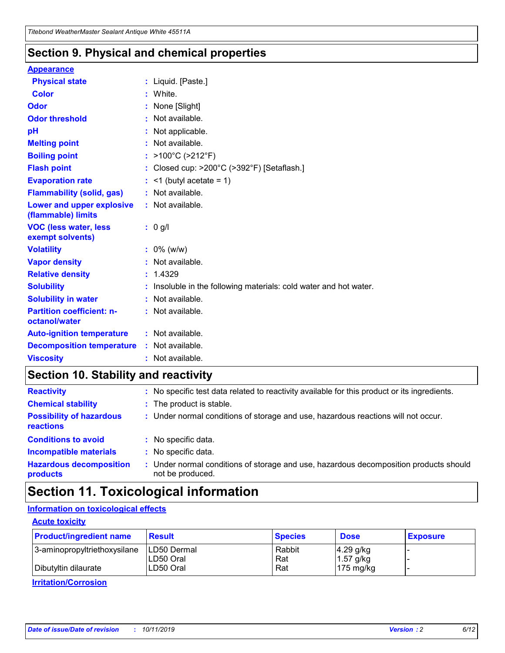### **Section 9. Physical and chemical properties**

#### **Appearance**

| <b>Physical state</b>                             | : Liquid. [Paste.]                                              |
|---------------------------------------------------|-----------------------------------------------------------------|
| <b>Color</b>                                      | White.                                                          |
| Odor                                              | None [Slight]                                                   |
| <b>Odor threshold</b>                             | $:$ Not available.                                              |
| рH                                                | : Not applicable.                                               |
| <b>Melting point</b>                              | : Not available.                                                |
| <b>Boiling point</b>                              | : $>100^{\circ}$ C ( $>212^{\circ}$ F)                          |
| <b>Flash point</b>                                | : Closed cup: >200°C (>392°F) [Setaflash.]                      |
| <b>Evaporation rate</b>                           | $:$ <1 (butyl acetate = 1)                                      |
| <b>Flammability (solid, gas)</b>                  | : Not available.                                                |
| Lower and upper explosive<br>(flammable) limits   | $:$ Not available.                                              |
| <b>VOC (less water, less</b><br>exempt solvents)  | : 0 g/l                                                         |
| <b>Volatility</b>                                 | $: 0\%$ (w/w)                                                   |
| <b>Vapor density</b>                              | : Not available.                                                |
| <b>Relative density</b>                           | : 1.4329                                                        |
|                                                   |                                                                 |
| <b>Solubility</b>                                 | Insoluble in the following materials: cold water and hot water. |
| <b>Solubility in water</b>                        | $:$ Not available.                                              |
| <b>Partition coefficient: n-</b><br>octanol/water | $:$ Not available.                                              |
| <b>Auto-ignition temperature</b>                  | : Not available.                                                |
| <b>Decomposition temperature</b>                  | : Not available.                                                |

### **Section 10. Stability and reactivity**

| <b>Reactivity</b>                            |    | : No specific test data related to reactivity available for this product or its ingredients.            |
|----------------------------------------------|----|---------------------------------------------------------------------------------------------------------|
| <b>Chemical stability</b>                    |    | : The product is stable.                                                                                |
| <b>Possibility of hazardous</b><br>reactions |    | : Under normal conditions of storage and use, hazardous reactions will not occur.                       |
| <b>Conditions to avoid</b>                   |    | : No specific data.                                                                                     |
| <b>Incompatible materials</b>                | ٠. | No specific data.                                                                                       |
| <b>Hazardous decomposition</b><br>products   | ÷. | Under normal conditions of storage and use, hazardous decomposition products should<br>not be produced. |

## **Section 11. Toxicological information**

### **Information on toxicological effects**

### **Acute toxicity**

| <b>Product/ingredient name</b> | <b>Result</b>           | <b>Species</b> | <b>Dose</b>                | <b>Exposure</b> |
|--------------------------------|-------------------------|----------------|----------------------------|-----------------|
| 3-aminopropyltriethoxysilane   | <b>ILD50 Dermal</b>     | Rabbit         | 4.29 g/kg                  |                 |
| Dibutyltin dilaurate           | ILD50 Oral<br>LD50 Oral | Rat<br>Rat     | $1.57$ g/kg<br>175 $mg/kg$ |                 |
|                                |                         |                |                            |                 |

**Irritation/Corrosion**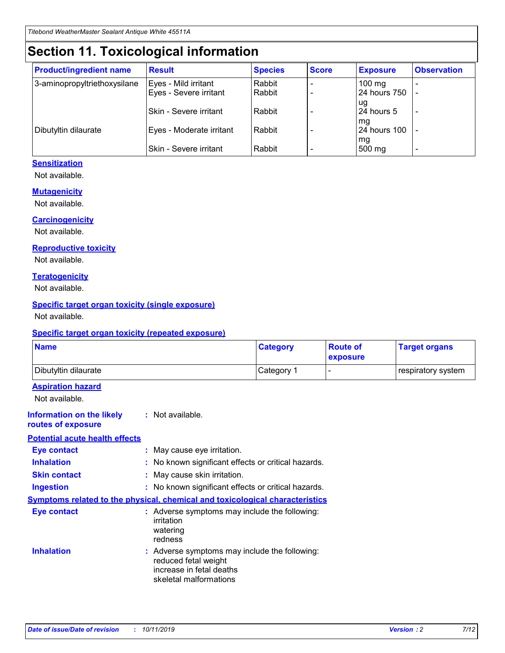## **Section 11. Toxicological information**

| <b>Product/ingredient name</b> | <b>Result</b>                 | <b>Species</b> | <b>Score</b> | <b>Exposure</b>    | <b>Observation</b> |
|--------------------------------|-------------------------------|----------------|--------------|--------------------|--------------------|
| 3-aminopropyltriethoxysilane   | Eyes - Mild irritant          | Rabbit         |              | $100$ mg           |                    |
|                                | Eyes - Severe irritant        | Rabbit         |              | 24 hours 750       |                    |
|                                |                               |                |              | ug                 |                    |
|                                | <b>Skin - Severe irritant</b> | Rabbit         |              | 24 hours 5         | ۰                  |
| Dibutyltin dilaurate           | Eyes - Moderate irritant      | Rabbit         |              | mq<br>24 hours 100 |                    |
|                                |                               |                |              | mg                 |                    |
|                                | Skin - Severe irritant        | Rabbit         |              | 500 mg             |                    |

### **Sensitization**

Not available.

### **Mutagenicity**

Not available.

#### **Carcinogenicity**

Not available.

#### **Reproductive toxicity**

Not available.

#### **Teratogenicity**

Not available.

#### **Specific target organ toxicity (single exposure)**

Not available.

#### **Specific target organ toxicity (repeated exposure)**

| <b>Name</b>                                                                  |                                                                            | <b>Category</b>                                     | <b>Route of</b><br>exposure | <b>Target organs</b> |
|------------------------------------------------------------------------------|----------------------------------------------------------------------------|-----------------------------------------------------|-----------------------------|----------------------|
| Dibutyltin dilaurate                                                         |                                                                            | Category 1                                          | -                           | respiratory system   |
| <b>Aspiration hazard</b><br>Not available.                                   |                                                                            |                                                     |                             |                      |
| <b>Information on the likely</b><br>routes of exposure                       | : Not available.                                                           |                                                     |                             |                      |
| <b>Potential acute health effects</b>                                        |                                                                            |                                                     |                             |                      |
| <b>Eye contact</b>                                                           | : May cause eye irritation.                                                |                                                     |                             |                      |
| <b>Inhalation</b>                                                            |                                                                            | : No known significant effects or critical hazards. |                             |                      |
| <b>Skin contact</b>                                                          | : May cause skin irritation.                                               |                                                     |                             |                      |
| <b>Ingestion</b>                                                             |                                                                            | : No known significant effects or critical hazards. |                             |                      |
| Symptoms related to the physical, chemical and toxicological characteristics |                                                                            |                                                     |                             |                      |
| <b>Eye contact</b>                                                           | irritation<br>watering<br>redness                                          | : Adverse symptoms may include the following:       |                             |                      |
| <b>Inhalation</b>                                                            | reduced fetal weight<br>increase in fetal deaths<br>skeletal malformations | : Adverse symptoms may include the following:       |                             |                      |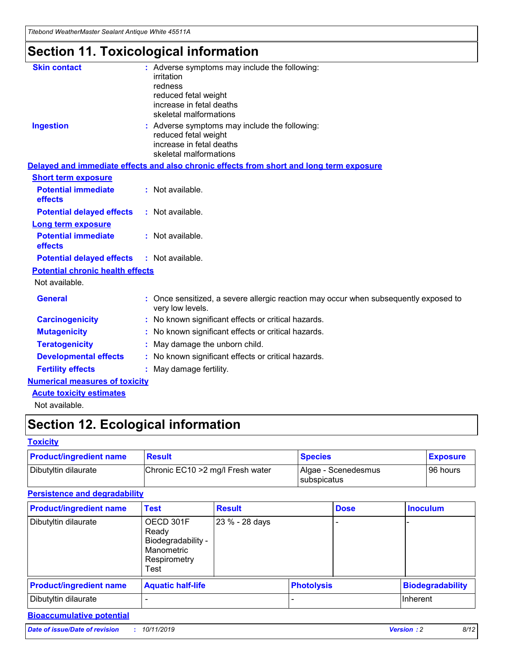*Titebond WeatherMaster Sealant Antique White 45511A*

## **Section 11. Toxicological information**

| <b>Skin contact</b>                     | : Adverse symptoms may include the following:                                                          |
|-----------------------------------------|--------------------------------------------------------------------------------------------------------|
|                                         | irritation                                                                                             |
|                                         | redness                                                                                                |
|                                         | reduced fetal weight                                                                                   |
|                                         | increase in fetal deaths                                                                               |
|                                         | skeletal malformations                                                                                 |
| <b>Ingestion</b>                        | : Adverse symptoms may include the following:                                                          |
|                                         | reduced fetal weight                                                                                   |
|                                         | increase in fetal deaths                                                                               |
|                                         | skeletal malformations                                                                                 |
|                                         | Delayed and immediate effects and also chronic effects from short and long term exposure               |
| <b>Short term exposure</b>              |                                                                                                        |
| <b>Potential immediate</b>              | : Not available.                                                                                       |
| effects                                 |                                                                                                        |
| <b>Potential delayed effects</b>        | : Not available.                                                                                       |
| <b>Long term exposure</b>               |                                                                                                        |
| <b>Potential immediate</b>              | : Not available.                                                                                       |
| effects                                 |                                                                                                        |
| <b>Potential delayed effects</b>        | : Not available.                                                                                       |
| <b>Potential chronic health effects</b> |                                                                                                        |
| Not available.                          |                                                                                                        |
| <b>General</b>                          | Once sensitized, a severe allergic reaction may occur when subsequently exposed to<br>very low levels. |
| <b>Carcinogenicity</b>                  | : No known significant effects or critical hazards.                                                    |
| <b>Mutagenicity</b>                     | : No known significant effects or critical hazards.                                                    |
| <b>Teratogenicity</b>                   | May damage the unborn child.                                                                           |
| <b>Developmental effects</b>            | : No known significant effects or critical hazards.                                                    |
| <b>Fertility effects</b>                | : May damage fertility.                                                                                |
| <b>Numerical measures of toxicity</b>   |                                                                                                        |
| <b>Acute toxicity estimates</b>         |                                                                                                        |
| الملمانون والملك                        |                                                                                                        |

#### Not available.

## **Section 12. Ecological information**

### **Toxicity**

| <b>Product/ingredient name</b> | <b>Result</b>                     | <b>Species</b>                              | <b>Exposure</b> |
|--------------------------------|-----------------------------------|---------------------------------------------|-----------------|
| Dibutyltin dilaurate           | Chronic EC10 > 2 mg/l Fresh water | Algae - Scenedesmus<br><b>I</b> subspicatus | l 96 hours      |

### **Persistence and degradability**

| <b>Product/ingredient name</b> | <b>Test</b>                                                                    | <b>Result</b>  |  | <b>Dose</b>       | <b>Inoculum</b>         |
|--------------------------------|--------------------------------------------------------------------------------|----------------|--|-------------------|-------------------------|
| Dibutyltin dilaurate           | OECD 301F<br>Ready<br>Biodegradability -<br>Manometric<br>Respirometry<br>Test | 23 % - 28 days |  |                   |                         |
| <b>Product/ingredient name</b> | <b>Aquatic half-life</b>                                                       |                |  | <b>Photolysis</b> | <b>Biodegradability</b> |
| Dibutyltin dilaurate           |                                                                                |                |  |                   | Inherent                |

### **Bioaccumulative potential**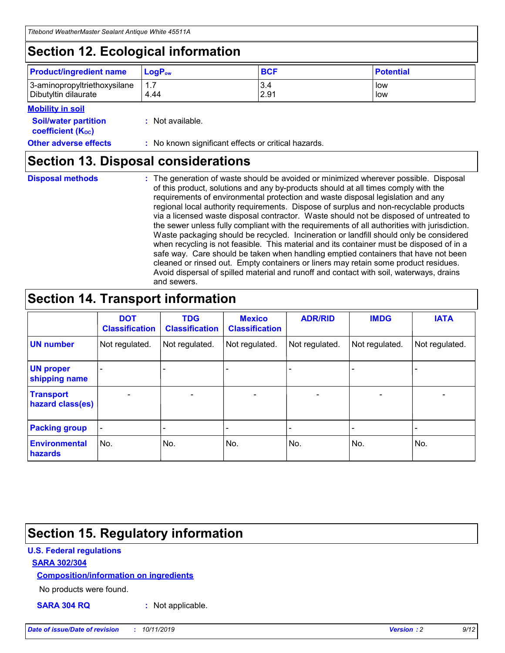## **Section 12. Ecological information**

| <b>Product/ingredient name</b> | $\mathsf{LogP}_\mathsf{ow}$ | <b>BCF</b> | <b>Potential</b> |
|--------------------------------|-----------------------------|------------|------------------|
| 3-aminopropyltriethoxysilane   | $-1.7$                      | 3.4        | low              |
| Dibutyltin dilaurate           | 4.44                        | 2.91       | low              |

#### **Mobility in soil**

| <i></i>                                                       |                                                     |
|---------------------------------------------------------------|-----------------------------------------------------|
| <b>Soil/water partition</b><br>coefficient (K <sub>oc</sub> ) | : Not available.                                    |
| <b>Other adverse effects</b>                                  | : No known significant effects or critical hazards. |

### **Section 13. Disposal considerations**

|  | <b>Disposal methods</b> |  |
|--|-------------------------|--|

**Disposal methods** : The generation of waste should be avoided or minimized wherever possible. Disposal of this product, solutions and any by-products should at all times comply with the requirements of environmental protection and waste disposal legislation and any regional local authority requirements. Dispose of surplus and non-recyclable products via a licensed waste disposal contractor. Waste should not be disposed of untreated to the sewer unless fully compliant with the requirements of all authorities with jurisdiction. Waste packaging should be recycled. Incineration or landfill should only be considered when recycling is not feasible. This material and its container must be disposed of in a safe way. Care should be taken when handling emptied containers that have not been cleaned or rinsed out. Empty containers or liners may retain some product residues. Avoid dispersal of spilled material and runoff and contact with soil, waterways, drains and sewers.

## **Section 14. Transport information**

|                                      | <b>DOT</b><br><b>Classification</b> | <b>TDG</b><br><b>Classification</b> | <b>Mexico</b><br><b>Classification</b> | <b>ADR/RID</b>               | <b>IMDG</b>    | <b>IATA</b>    |
|--------------------------------------|-------------------------------------|-------------------------------------|----------------------------------------|------------------------------|----------------|----------------|
| <b>UN number</b>                     | Not regulated.                      | Not regulated.                      | Not regulated.                         | Not regulated.               | Not regulated. | Not regulated. |
| <b>UN proper</b><br>shipping name    |                                     |                                     |                                        |                              |                |                |
| <b>Transport</b><br>hazard class(es) | $\blacksquare$                      | $\overline{\phantom{0}}$            | $\overline{\phantom{a}}$               | $\qquad \qquad \blacksquare$ | $\blacksquare$ | $\blacksquare$ |
| <b>Packing group</b>                 | $\overline{\phantom{a}}$            | -                                   |                                        | -                            |                | -              |
| <b>Environmental</b><br>hazards      | No.                                 | No.                                 | No.                                    | No.                          | No.            | No.            |

## **Section 15. Regulatory information**

### **U.S. Federal regulations**

### **SARA 302/304**

### **Composition/information on ingredients**

No products were found.

**SARA 304 RQ :** Not applicable.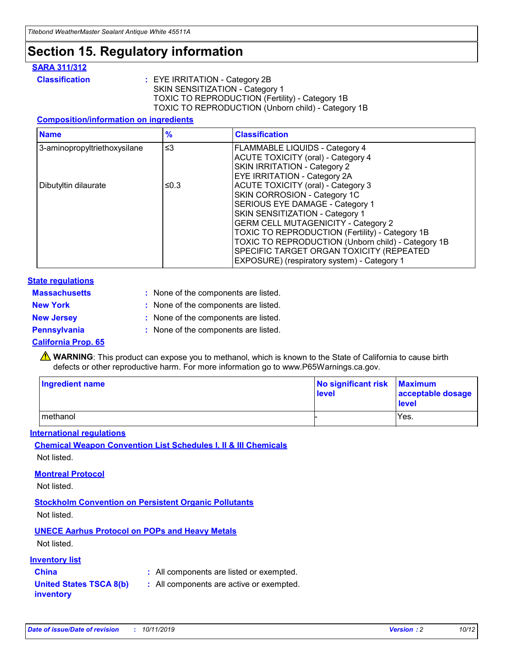## **Section 15. Regulatory information**

### **SARA 311/312**

**Classification :** EYE IRRITATION - Category 2B SKIN SENSITIZATION - Category 1 TOXIC TO REPRODUCTION (Fertility) - Category 1B TOXIC TO REPRODUCTION (Unborn child) - Category 1B

### **Composition/information on ingredients**

| <b>Name</b>                  | $\frac{9}{6}$ | <b>Classification</b>                                                                                            |
|------------------------------|---------------|------------------------------------------------------------------------------------------------------------------|
| 3-aminopropyltriethoxysilane | $\leq$ 3      | <b>FLAMMABLE LIQUIDS - Category 4</b><br><b>ACUTE TOXICITY (oral) - Category 4</b>                               |
|                              |               | SKIN IRRITATION - Category 2<br>EYE IRRITATION - Category 2A                                                     |
| Dibutyltin dilaurate         | ≤0.3          | ACUTE TOXICITY (oral) - Category 3<br>SKIN CORROSION - Category 1C                                               |
|                              |               | SERIOUS EYE DAMAGE - Category 1<br>SKIN SENSITIZATION - Category 1<br><b>GERM CELL MUTAGENICITY - Category 2</b> |
|                              |               | TOXIC TO REPRODUCTION (Fertility) - Category 1B<br>TOXIC TO REPRODUCTION (Unborn child) - Category 1B            |
|                              |               | SPECIFIC TARGET ORGAN TOXICITY (REPEATED<br>EXPOSURE) (respiratory system) - Category 1                          |

#### **State regulations**

| <b>Massachusetts</b> | : None of the components are listed. |
|----------------------|--------------------------------------|
| <b>New York</b>      | : None of the components are listed. |
| <b>New Jersey</b>    | : None of the components are listed. |
| Pennsylvania         | : None of the components are listed. |

#### **California Prop. 65**

**A** WARNING: This product can expose you to methanol, which is known to the State of California to cause birth defects or other reproductive harm. For more information go to www.P65Warnings.ca.gov.

| <b>Ingredient name</b> | No significant risk Maximum<br>level | acceptable dosage<br>level |
|------------------------|--------------------------------------|----------------------------|
| methanol               |                                      | Yes.                       |

#### **International regulations**

**Chemical Weapon Convention List Schedules I, II & III Chemicals** Not listed.

#### **Montreal Protocol**

Not listed.

**Stockholm Convention on Persistent Organic Pollutants**

Not listed.

### **UNECE Aarhus Protocol on POPs and Heavy Metals**

Not listed.

### **Inventory list**

### **China :** All components are listed or exempted.

**United States TSCA 8(b) inventory :** All components are active or exempted.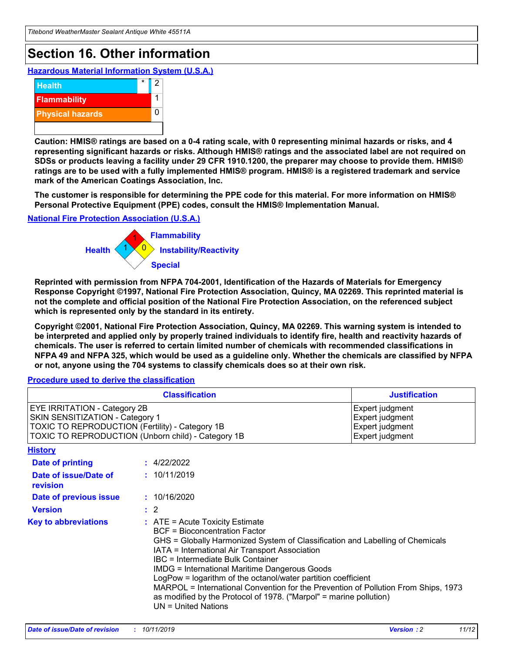## **Section 16. Other information**

**Hazardous Material Information System (U.S.A.)**



**Caution: HMIS® ratings are based on a 0-4 rating scale, with 0 representing minimal hazards or risks, and 4 representing significant hazards or risks. Although HMIS® ratings and the associated label are not required on SDSs or products leaving a facility under 29 CFR 1910.1200, the preparer may choose to provide them. HMIS® ratings are to be used with a fully implemented HMIS® program. HMIS® is a registered trademark and service mark of the American Coatings Association, Inc.**

**The customer is responsible for determining the PPE code for this material. For more information on HMIS® Personal Protective Equipment (PPE) codes, consult the HMIS® Implementation Manual.**

#### **National Fire Protection Association (U.S.A.)**



**Reprinted with permission from NFPA 704-2001, Identification of the Hazards of Materials for Emergency Response Copyright ©1997, National Fire Protection Association, Quincy, MA 02269. This reprinted material is not the complete and official position of the National Fire Protection Association, on the referenced subject which is represented only by the standard in its entirety.**

**Copyright ©2001, National Fire Protection Association, Quincy, MA 02269. This warning system is intended to be interpreted and applied only by properly trained individuals to identify fire, health and reactivity hazards of chemicals. The user is referred to certain limited number of chemicals with recommended classifications in NFPA 49 and NFPA 325, which would be used as a guideline only. Whether the chemicals are classified by NFPA or not, anyone using the 704 systems to classify chemicals does so at their own risk.**

**Procedure used to derive the classification**

|                                                                                                                    | <b>Classification</b>                                                                                                                            | <b>Justification</b>                                                                                                                                                                                                                                                                                                                                                                                                 |  |
|--------------------------------------------------------------------------------------------------------------------|--------------------------------------------------------------------------------------------------------------------------------------------------|----------------------------------------------------------------------------------------------------------------------------------------------------------------------------------------------------------------------------------------------------------------------------------------------------------------------------------------------------------------------------------------------------------------------|--|
| EYE IRRITATION - Category 2B<br>SKIN SENSITIZATION - Category 1<br>TOXIC TO REPRODUCTION (Fertility) - Category 1B | TOXIC TO REPRODUCTION (Unborn child) - Category 1B                                                                                               | Expert judgment<br>Expert judgment<br>Expert judgment<br>Expert judgment                                                                                                                                                                                                                                                                                                                                             |  |
| <b>History</b>                                                                                                     |                                                                                                                                                  |                                                                                                                                                                                                                                                                                                                                                                                                                      |  |
| Date of printing                                                                                                   | : 4/22/2022                                                                                                                                      |                                                                                                                                                                                                                                                                                                                                                                                                                      |  |
| Date of issue/Date of<br>revision                                                                                  | : 10/11/2019                                                                                                                                     |                                                                                                                                                                                                                                                                                                                                                                                                                      |  |
| Date of previous issue                                                                                             | : 10/16/2020                                                                                                                                     |                                                                                                                                                                                                                                                                                                                                                                                                                      |  |
| <b>Version</b>                                                                                                     | $\therefore$ 2                                                                                                                                   |                                                                                                                                                                                                                                                                                                                                                                                                                      |  |
| <b>Key to abbreviations</b>                                                                                        | $\therefore$ ATE = Acute Toxicity Estimate<br><b>BCF</b> = Bioconcentration Factor<br>IBC = Intermediate Bulk Container<br>$UN = United Nations$ | GHS = Globally Harmonized System of Classification and Labelling of Chemicals<br>IATA = International Air Transport Association<br><b>IMDG = International Maritime Dangerous Goods</b><br>LogPow = logarithm of the octanol/water partition coefficient<br>MARPOL = International Convention for the Prevention of Pollution From Ships, 1973<br>as modified by the Protocol of 1978. ("Marpol" = marine pollution) |  |